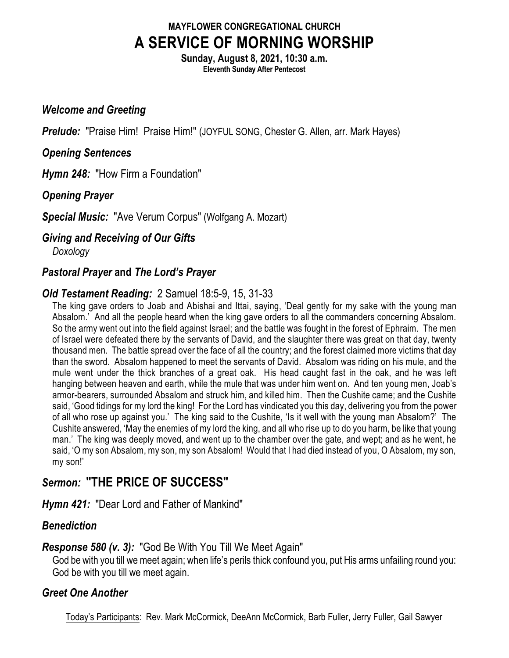### **MAYFLOWER CONGREGATIONAL CHURCH A SERVICE OF MORNING WORSHIP**

**Sunday, August 8, 2021, 10:30 a.m. Eleventh Sunday After Pentecost**

#### *Welcome and Greeting*

**Prelude:** "Praise Him! Praise Him!" (JOYFUL SONG, Chester G. Allen, arr. Mark Hayes)

#### *Opening Sentences*

*Hymn 248:* "How Firm a Foundation"

*Opening Prayer*

*Special Music:* "Ave Verum Corpus" (Wolfgang A. Mozart)

*Giving and Receiving of Our Gifts*

*Doxology*

#### *Pastoral Prayer* **and** *The Lord's Prayer*

### *Old Testament Reading:* 2 Samuel 18:5-9, 15, 31-33

The king gave orders to Joab and Abishai and Ittai, saying, 'Deal gently for my sake with the young man Absalom.' And all the people heard when the king gave orders to all the commanders concerning Absalom. So the army went out into the field against Israel; and the battle was fought in the forest of Ephraim. The men of Israel were defeated there by the servants of David, and the slaughter there was great on that day, twenty thousand men. The battle spread over the face of all the country; and the forest claimed more victims that day than the sword. Absalom happened to meet the servants of David. Absalom was riding on his mule, and the mule went under the thick branches of a great oak. His head caught fast in the oak, and he was left hanging between heaven and earth, while the mule that was under him went on. And ten young men, Joab's armor-bearers, surrounded Absalom and struck him, and killed him. Then the Cushite came; and the Cushite said, 'Good tidings for my lord the king! For the Lord has vindicated you this day, delivering you from the power of all who rose up against you.' The king said to the Cushite, 'Is it well with the young man Absalom?' The Cushite answered, 'May the enemies of my lord the king, and all who rise up to do you harm, be like that young man.' The king was deeply moved, and went up to the chamber over the gate, and wept; and as he went, he said, 'O my son Absalom, my son, my son Absalom! Would that I had died instead of you, O Absalom, my son, my son!'

## *Sermon:* **"THE PRICE OF SUCCESS"**

*Hymn 421:* "Dear Lord and Father of Mankind"

#### *Benediction*

#### *Response 580 (v. 3):* "God Be With You Till We Meet Again"

God be with you till we meet again; when life's perils thick confound you, put His arms unfailing round you: God be with you till we meet again.

#### *Greet One Another*

Today's Participants: Rev. Mark McCormick, DeeAnn McCormick, Barb Fuller, Jerry Fuller, Gail Sawyer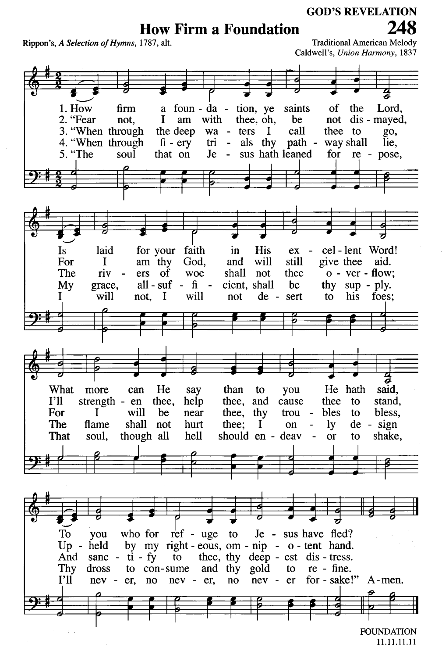# **How Firm a Foundation**

Rippon's, A Selection of Hymns, 1787, alt.

**Traditional American Melody** Caldwell's, Union Harmony, 1837



11.11.11.11